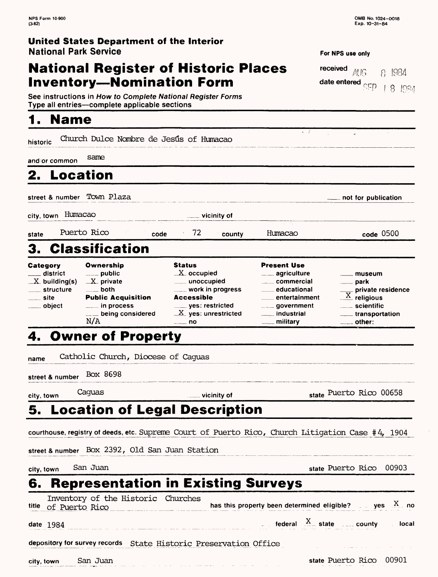$181921$ 

**For NPS use only** 

**date entered** *escrip* 

 $\cdot$   $\cdot$ 

**received**  $\overline{A}$   $\overline{B}$   $\overline{B}$   $\overline{B}$   $\overline{B}$   $\overline{B}$ 

### **United States Department of the Interior National Park Service**

## **National Register of Historic Places Inventory-Nomination Form**

| See instructions in How to Complete National Register Forms |  |
|-------------------------------------------------------------|--|
| Type all entries—complete applicable sections               |  |

## **1. Name**

historic Church Dulce Nombre de Jesús of Humacao

**and or common** same

## **2. Location**

street & number Town Plaza **now the street & number** Town Plaza

city, town Humacao

**vicinity of**

state Puerto Rico **code** 72 Humacao **code** 0500

# 3. Classification

| Category        | Ownership                 | <b>Status</b>         | <b>Present Use</b>         |                                        |
|-----------------|---------------------------|-----------------------|----------------------------|----------------------------------------|
| ___ district    | $\equiv$ public           | $X$ occupied          | <u>__</u> __ agriculture   | . museum                               |
| $X$ building(s) | $X$ private               | ___ unoccupied        | ____ commercial            | <u>__</u> __ park                      |
| structure       | $\rule{1em}{0.15mm}$ both | ____ work in progress | educational                |                                        |
| $\equiv$ site   | <b>Public Acquisition</b> | <b>Accessible</b>     | entertainment              | $\frac{1}{\sqrt{X}}$ private residence |
| ____ object     | $\frac{1}{2}$ in process  | ___ yes: restricted   | <b>Example 20 Julie 20</b> | ____ scientific                        |
|                 | $\equiv$ being considered | $X$ yes: unrestricted | _____ industrial           | _____ transportation                   |
|                 | N/A                       | — no                  | <sub>—</sub> militarv      | $\equiv$ other:                        |

## 4. Owner of Property

name Catholic Church, Diocese of Caguas

street & number Box 8698

**city, town** Caguas **vicinity of state** Puerto Rico 00658

### **5. Location of Legal Description**

courthouse, registry of deeds, etc. Supreme Court of Puerto Rico, Church Litigation Case #4, 1904

street & number Box 2392, Old San Juan Station

**city, town** San Juan **state** Puerto Rico 00903

## **6. Representation in Existing Surveys**

| Inventory of the Historic Churches<br>title of Puerto Rico       | has this property been determined eligible? $\Box$ yes $X$ no |                                          |  |
|------------------------------------------------------------------|---------------------------------------------------------------|------------------------------------------|--|
| <b>date 1984</b>                                                 |                                                               | federal $\frac{X}{x}$ state county local |  |
| depository for survey records State Historic Preservation Office |                                                               |                                          |  |

**city, town** San Juan state Puerto Rico 00901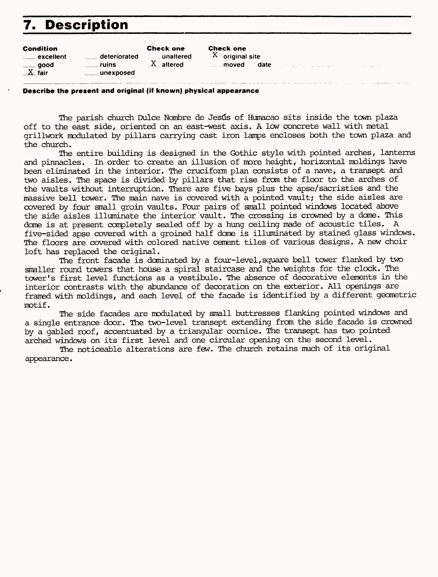# **7. Description**

| <b>Check one</b><br><b>Check one</b><br><b>Condition</b><br>$X$ original site<br>deteriorated<br>unaltered<br>$\rule{1em}{0.15mm}$ excellent<br>$X$ altered<br>ruins<br>date<br>and moved the moved and set the moved in the set of the set of the set of the set of the set of the set of the<br>$\rule{1em}{0.15mm}$ good<br>$X$ fair<br>_____ unexposed |  |
|------------------------------------------------------------------------------------------------------------------------------------------------------------------------------------------------------------------------------------------------------------------------------------------------------------------------------------------------------------|--|
|------------------------------------------------------------------------------------------------------------------------------------------------------------------------------------------------------------------------------------------------------------------------------------------------------------------------------------------------------------|--|

#### **Describe the present and original (if known) physical appearance**

The parish church Dulce Nombre de Jesús of Humacao sits inside the town plaza off to the east side, oriented on an east-west axis. A low concrete wall with metal grillwork modulated by pillars carrying cast iron lamps encloses both the town plaza and the church.

The entire building is designed in the Gothic style with pointed arches, lanterns and pinnacles. In order to create an illusion of more height, horizontal moldings have been eliminated in the interior. The cruciform plan consists of a nave, a transept and two aisles. The space is divided by pillars that rise from the floor to the arches of the vaults without interruption. There are five bays plus the apse/sacristies and the massive bell tower. The main nave is covered with a pointed vault; the side aisles are covered by four small groin vaults. Four pairs of small pointed windows located above the side aisles illuminate the interior vault. The crossing is crowned by a dome. This dome is at present completely sealed off by a hung ceiling made of acoustic tiles. A five-sided apse covered with a groined half dome is illuminated by stained glass windows. The floors are covered with colored native cement tiles of various designs. A new choir loft has replaced the original.

The front facade is dominated by a four-level,square bell tower flanked by two smaller round towers that house a spiral staircase and the weights for the clock. The tower's first level functions as a vestibule. The absence of decorative elements in the interior contrasts with the abundance of decoration on the exterior. All openings are framed with moldings, and each level of the facade is identified by a different geometric motif.

The side facades are modulated by small buttresses flanking pointed windows and a single entrance door. The two-level transept extending from the side facade is crowned by a gabled roof, accentuated by a triangular cornice. The transept has two pointed arched windows on its first level and one circular opening on the second level.

The noticeable alterations are few. The church retains much of its original appearance.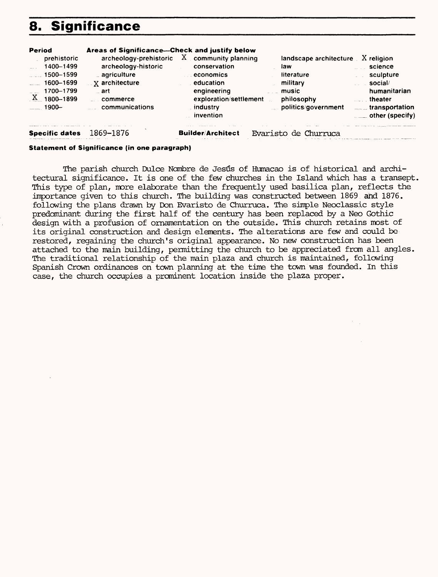## **8. Significance**

| <b>Period</b><br>prehistoric<br>1400-1499<br>$\frac{1500 - 1599}{2}$<br>1600-1699<br>1700-1799<br>$\mathbf{x}$<br>1800-1899<br>$1900 -$ | Areas of Significance---Check and justify below<br>archeology-prehistoric<br>archeology-historic<br>_ agriculture<br>$\mathbb{R}$ x architecture<br>art -<br>commerce<br>communications | $X_1$ community planning<br>conservation<br>economics<br>education<br>engineering<br>exploration/settlement<br>industry<br>invention | landscape architecture<br>law<br>literature<br>military<br>music<br>philosophy<br>politics/government | $X$ religion<br>science<br>sculpture<br>social/<br>humanitarian<br>theater<br>transportation<br>$\equiv$ other (specify) |
|-----------------------------------------------------------------------------------------------------------------------------------------|-----------------------------------------------------------------------------------------------------------------------------------------------------------------------------------------|--------------------------------------------------------------------------------------------------------------------------------------|-------------------------------------------------------------------------------------------------------|--------------------------------------------------------------------------------------------------------------------------|
| <b>Specific dates</b>                                                                                                                   | 1869–1876                                                                                                                                                                               | <b>Builder/Architect</b>                                                                                                             | Evaristo de Churruca                                                                                  |                                                                                                                          |

#### **Statement of Significance (in one paragraph)**

The parish church Dulce Nombre de Jesús of Humacao is of historical and architectural significance. It is one of the few churches in the Island which has a transept. This type of plan, more elaborate than the frequently used basilica plan, reflects the importance given to this church. The building was constructed between 1869 and 1876. following the plans drawn by Don Evaristo de Churruca. The simple Neoclassic style predominant during the first half of the century has been replaced by a Neo Gothic design with a profusion of ornamentation on the outside. This church retains most of its original construction and design elements. The alterations are few and could be restored, regaining the church's original appearance. No new construction has been attached to the main building, permitting the church to be appreciated from all angles. The traditional relationship of the main plaza and church is maintained, following Spanish Crown ordinances on town planning at the time the town was founded. In this case, the church occupies a prominent location inside the plaza proper.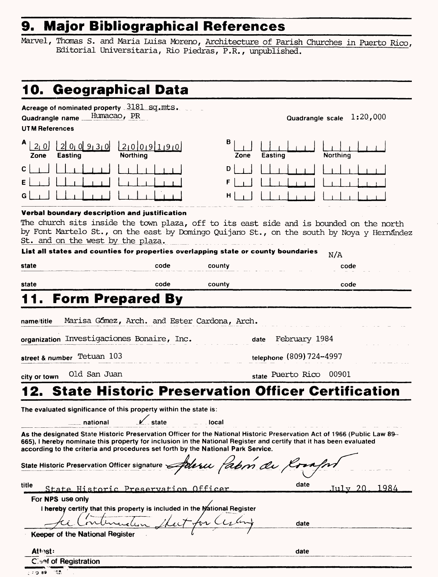# **9. Major Bibliographical References**

Marvel, Thomas S. and Maria Luisa Moreno, Architecture of Parish Churches in Puerto Rico, Editorial Universitaria, Rio Piedras, P.R., unpublished.

| 10. Geographical Data                                                                                                                                                                 |                                                                                                                                                                                                                                                                                                                                  |
|---------------------------------------------------------------------------------------------------------------------------------------------------------------------------------------|----------------------------------------------------------------------------------------------------------------------------------------------------------------------------------------------------------------------------------------------------------------------------------------------------------------------------------|
| Acreage of nominated property 3181 sq.mts.<br>Humacao, PR<br>Quadrangle name<br><b>UTM References</b>                                                                                 | 1:20,000<br>Quadrangle scale                                                                                                                                                                                                                                                                                                     |
| $21$ 0<br>0!9;3;0<br>210001911910<br>Northing<br><b>Easting</b><br>Zone                                                                                                               | в<br>Easting<br>Northing<br>Zone                                                                                                                                                                                                                                                                                                 |
| С                                                                                                                                                                                     | D<br>F<br>н                                                                                                                                                                                                                                                                                                                      |
| Verbal boundary description and justification<br>St. and on the west by the plaza.                                                                                                    | The church sits inside the town plaza, off to its east side and is bounded on the north<br>by Font Martelo St., on the east by Domingo Quijano St., on the south by Noya y Hernandez                                                                                                                                             |
| List all states and counties for properties overlapping state or county boundaries<br>state<br>code                                                                                   | N/A<br>county<br>code                                                                                                                                                                                                                                                                                                            |
| code<br>state                                                                                                                                                                         | county<br>code                                                                                                                                                                                                                                                                                                                   |
| <b>Form Prepared By</b>                                                                                                                                                               |                                                                                                                                                                                                                                                                                                                                  |
| organization Investigaciones Bonaire, Inc.<br>street & number Tetuan 103<br>Old San Juan<br>city or town                                                                              | February 1984<br>date<br>telephone (809) 724-4997<br>state Puerto Rico<br>00901                                                                                                                                                                                                                                                  |
|                                                                                                                                                                                       | <b>State Historic Preservation Officer Certification</b>                                                                                                                                                                                                                                                                         |
| The evaluated significance of this property within the state is:<br>$\sqrt{\ }$ state<br>national<br>according to the criteria and procedures set forth by the National Park Service. | local<br>As the designated State Historic Preservation Officer for the National Historic Preservation Act of 1966 (Public Law 89-<br>665), I hereby nominate this property for inclusion in the National Register and certify that it has been evaluated<br>State Historic Preservation Officer signature Aderu fabri de Corafin |
| title<br>State Historic Preservation Officer                                                                                                                                          | date<br>1984<br><u>July 20</u>                                                                                                                                                                                                                                                                                                   |
| For NPS use only<br>I hereby certify that this property is included in the Mational Register<br>Keeper of the National Register                                                       | return Sheet for Certain<br>date                                                                                                                                                                                                                                                                                                 |
| Attest:                                                                                                                                                                               | date                                                                                                                                                                                                                                                                                                                             |
| <b>Clash of Registration</b>                                                                                                                                                          |                                                                                                                                                                                                                                                                                                                                  |
| <b>Service</b><br>ုးဝါဒေ                                                                                                                                                              |                                                                                                                                                                                                                                                                                                                                  |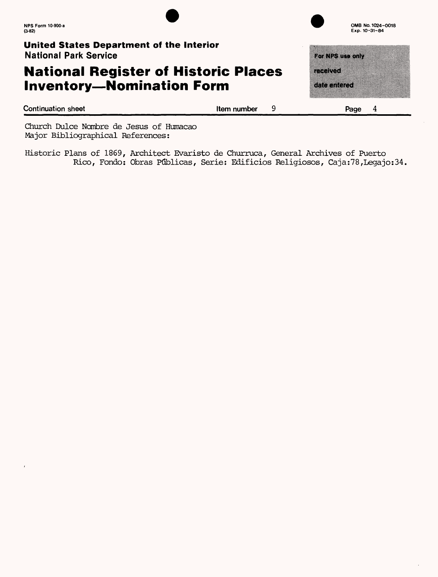#### **United States Department of the Interior** National Park Service

## **National Register of Historic Places Inventory-Nomination Form**

| Exp. 10-31-84 |  |  |  |
|---------------|--|--|--|
|               |  |  |  |
| a kata wa     |  |  |  |
| nanyot        |  |  |  |
|               |  |  |  |
| sta mode      |  |  |  |

**OMB No. 1024-0018** 

**Continuation sheet Item number** 9 **Page 4**

Church Dulce Nombre de Jesus of Humacao Major Bibliographical References:

Historic Plans of 1869, Architect Evaristo de Churruca, General Archives of Puerto Rico, Fondo: Obras Ptjblicas, Serie: Edificios Religiosos, Caja:78,Legajo:34,